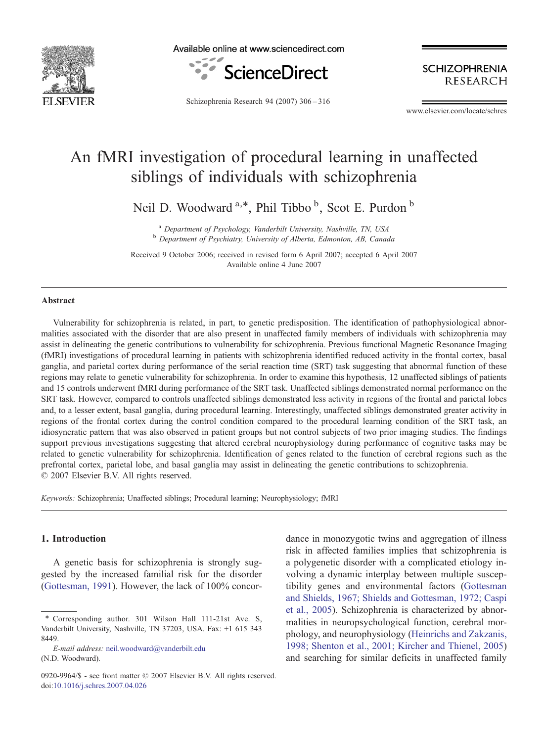

Available online at www.sciencedirect.com



**SCHIZOPHRENIA RESEARCH** 

Schizophrenia Research 94 (2007) 306–316

www.elsevier.com/locate/schres

# An fMRI investigation of procedural learning in unaffected siblings of individuals with schizophrenia

Neil D. Woodward <sup>a,\*</sup>, Phil Tibbo <sup>b</sup>, Scot E. Purdon <sup>b</sup>

<sup>a</sup> Department of Psychology, Vanderbilt University, Nashville, TN, USA b Department of Psychiatry, University of Alberta, Edmonton, AB, Canada

Received 9 October 2006; received in revised form 6 April 2007; accepted 6 April 2007 Available online 4 June 2007

#### Abstract

Vulnerability for schizophrenia is related, in part, to genetic predisposition. The identification of pathophysiological abnormalities associated with the disorder that are also present in unaffected family members of individuals with schizophrenia may assist in delineating the genetic contributions to vulnerability for schizophrenia. Previous functional Magnetic Resonance Imaging (fMRI) investigations of procedural learning in patients with schizophrenia identified reduced activity in the frontal cortex, basal ganglia, and parietal cortex during performance of the serial reaction time (SRT) task suggesting that abnormal function of these regions may relate to genetic vulnerability for schizophrenia. In order to examine this hypothesis, 12 unaffected siblings of patients and 15 controls underwent fMRI during performance of the SRT task. Unaffected siblings demonstrated normal performance on the SRT task. However, compared to controls unaffected siblings demonstrated less activity in regions of the frontal and parietal lobes and, to a lesser extent, basal ganglia, during procedural learning. Interestingly, unaffected siblings demonstrated greater activity in regions of the frontal cortex during the control condition compared to the procedural learning condition of the SRT task, an idiosyncratic pattern that was also observed in patient groups but not control subjects of two prior imaging studies. The findings support previous investigations suggesting that altered cerebral neurophysiology during performance of cognitive tasks may be related to genetic vulnerability for schizophrenia. Identification of genes related to the function of cerebral regions such as the prefrontal cortex, parietal lobe, and basal ganglia may assist in delineating the genetic contributions to schizophrenia. © 2007 Elsevier B.V. All rights reserved.

Keywords: Schizophrenia; Unaffected siblings; Procedural learning; Neurophysiology; fMRI

## 1. Introduction

A genetic basis for schizophrenia is strongly suggested by the increased familial risk for the disorder [\(Gottesman, 1991](#page-9-0)). However, the lack of 100% concordance in monozygotic twins and aggregation of illness risk in affected families implies that schizophrenia is a polygenetic disorder with a complicated etiology involving a dynamic interplay between multiple susceptibility genes and environmental factors ([Gottesman](#page-9-0) [and Shields, 1967; Shields and Gottesman, 1972; Caspi](#page-9-0) [et al., 2005\)](#page-9-0). Schizophrenia is characterized by abnormalities in neuropsychological function, cerebral morphology, and neurophysiology ([Heinrichs and Zakzanis,](#page-9-0) [1998; Shenton et al., 2001; Kircher and Thienel, 2005](#page-9-0)) and searching for similar deficits in unaffected family

<sup>⁎</sup> Corresponding author. 301 Wilson Hall 111-21st Ave. S, Vanderbilt University, Nashville, TN 37203, USA. Fax: +1 615 343 8449.

E-mail address: [neil.woodward@vanderbilt.edu](mailto:neil.woodward@vanderbilt.edu) (N.D. Woodward).

<sup>0920-9964/\$ -</sup> see front matter © 2007 Elsevier B.V. All rights reserved. doi[:10.1016/j.schres.2007.04.026](http://dx.doi.org/10.1016/j.schres.2007.04.026)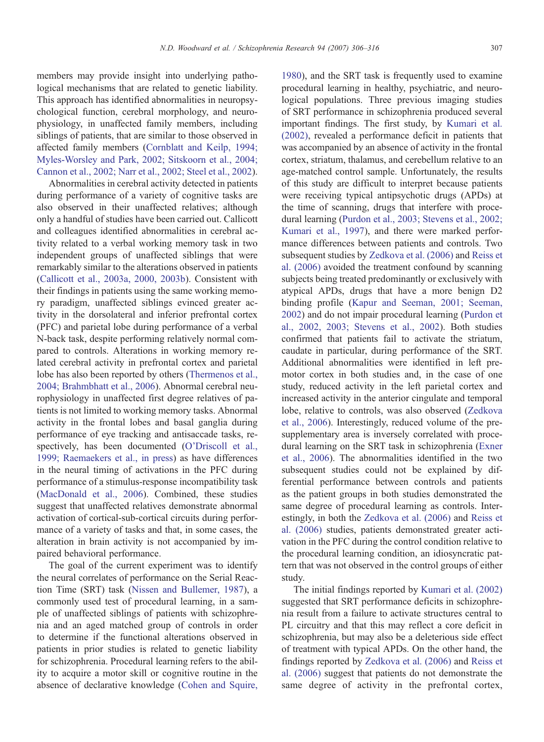members may provide insight into underlying pathological mechanisms that are related to genetic liability. This approach has identified abnormalities in neuropsychological function, cerebral morphology, and neurophysiology, in unaffected family members, including siblings of patients, that are similar to those observed in affected family members [\(Cornblatt and Keilp, 1994;](#page-9-0) [Myles-Worsley and Park, 2002; Sitskoorn et al., 2004;](#page-9-0) [Cannon et al., 2002; Narr et al., 2002; Steel et al., 2002](#page-9-0)).

Abnormalities in cerebral activity detected in patients during performance of a variety of cognitive tasks are also observed in their unaffected relatives; although only a handful of studies have been carried out. Callicott and colleagues identified abnormalities in cerebral activity related to a verbal working memory task in two independent groups of unaffected siblings that were remarkably similar to the alterations observed in patients [\(Callicott et al., 2003a, 2000, 2003b\)](#page-8-0). Consistent with their findings in patients using the same working memory paradigm, unaffected siblings evinced greater activity in the dorsolateral and inferior prefrontal cortex (PFC) and parietal lobe during performance of a verbal N-back task, despite performing relatively normal compared to controls. Alterations in working memory related cerebral activity in prefrontal cortex and parietal lobe has also been reported by others [\(Thermenos et al.,](#page-9-0) [2004; Brahmbhatt et al., 2006](#page-9-0)). Abnormal cerebral neurophysiology in unaffected first degree relatives of patients is not limited to working memory tasks. Abnormal activity in the frontal lobes and basal ganglia during performance of eye tracking and antisaccade tasks, respectively, has been documented [\(O'Driscoll et al.,](#page-9-0) [1999; Raemaekers et al., in press](#page-9-0)) as have differences in the neural timing of activations in the PFC during performance of a stimulus-response incompatibility task [\(MacDonald et al., 2006](#page-9-0)). Combined, these studies suggest that unaffected relatives demonstrate abnormal activation of cortical-sub-cortical circuits during performance of a variety of tasks and that, in some cases, the alteration in brain activity is not accompanied by impaired behavioral performance.

The goal of the current experiment was to identify the neural correlates of performance on the Serial Reaction Time (SRT) task ([Nissen and Bullemer, 1987\)](#page-9-0), a commonly used test of procedural learning, in a sample of unaffected siblings of patients with schizophrenia and an aged matched group of controls in order to determine if the functional alterations observed in patients in prior studies is related to genetic liability for schizophrenia. Procedural learning refers to the ability to acquire a motor skill or cognitive routine in the absence of declarative knowledge ([Cohen and Squire,](#page-9-0)

[1980\)](#page-9-0), and the SRT task is frequently used to examine procedural learning in healthy, psychiatric, and neurological populations. Three previous imaging studies of SRT performance in schizophrenia produced several important findings. The first study, by [Kumari et al.](#page-9-0) [\(2002\)](#page-9-0), revealed a performance deficit in patients that was accompanied by an absence of activity in the frontal cortex, striatum, thalamus, and cerebellum relative to an age-matched control sample. Unfortunately, the results of this study are difficult to interpret because patients were receiving typical antipsychotic drugs (APDs) at the time of scanning, drugs that interfere with procedural learning ([Purdon et al., 2003; Stevens et al., 2002;](#page-9-0) [Kumari et al., 1997\)](#page-9-0), and there were marked performance differences between patients and controls. Two subsequent studies by [Zedkova et al. \(2006\)](#page-10-0) and [Reiss et](#page-9-0) [al. \(2006\)](#page-9-0) avoided the treatment confound by scanning subjects being treated predominantly or exclusively with atypical APDs, drugs that have a more benign D2 binding profile [\(Kapur and Seeman, 2001; Seeman,](#page-9-0) [2002\)](#page-9-0) and do not impair procedural learning ([Purdon et](#page-9-0) [al., 2002, 2003; Stevens et al., 2002](#page-9-0)). Both studies confirmed that patients fail to activate the striatum, caudate in particular, during performance of the SRT. Additional abnormalities were identified in left premotor cortex in both studies and, in the case of one study, reduced activity in the left parietal cortex and increased activity in the anterior cingulate and temporal lobe, relative to controls, was also observed [\(Zedkova](#page-10-0) [et al., 2006\)](#page-10-0). Interestingly, reduced volume of the presupplementary area is inversely correlated with procedural learning on the SRT task in schizophrenia ([Exner](#page-9-0) [et al., 2006\)](#page-9-0). The abnormalities identified in the two subsequent studies could not be explained by differential performance between controls and patients as the patient groups in both studies demonstrated the same degree of procedural learning as controls. Interestingly, in both the [Zedkova et al. \(2006\)](#page-10-0) and [Reiss et](#page-9-0) [al. \(2006\)](#page-9-0) studies, patients demonstrated greater activation in the PFC during the control condition relative to the procedural learning condition, an idiosyncratic pattern that was not observed in the control groups of either study.

The initial findings reported by [Kumari et al. \(2002\)](#page-9-0) suggested that SRT performance deficits in schizophrenia result from a failure to activate structures central to PL circuitry and that this may reflect a core deficit in schizophrenia, but may also be a deleterious side effect of treatment with typical APDs. On the other hand, the findings reported by [Zedkova et al. \(2006\)](#page-10-0) and [Reiss et](#page-9-0) [al. \(2006\)](#page-9-0) suggest that patients do not demonstrate the same degree of activity in the prefrontal cortex,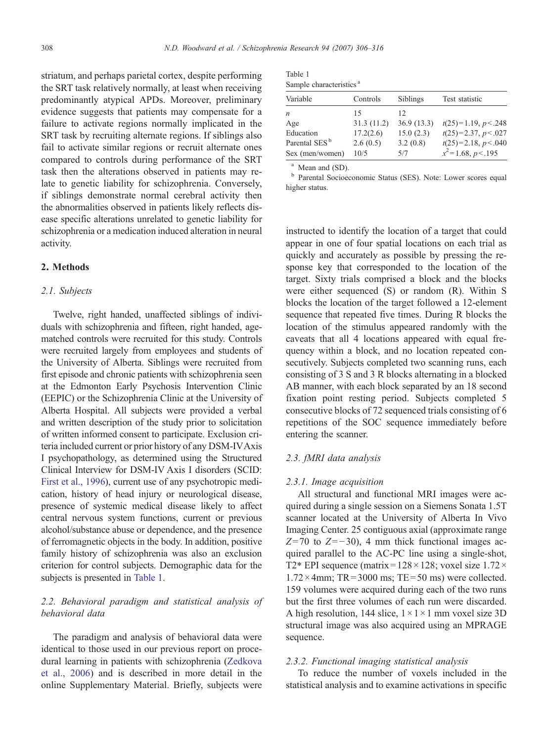striatum, and perhaps parietal cortex, despite performing the SRT task relatively normally, at least when receiving predominantly atypical APDs. Moreover, preliminary evidence suggests that patients may compensate for a failure to activate regions normally implicated in the SRT task by recruiting alternate regions. If siblings also fail to activate similar regions or recruit alternate ones compared to controls during performance of the SRT task then the alterations observed in patients may relate to genetic liability for schizophrenia. Conversely, if siblings demonstrate normal cerebral activity then the abnormalities observed in patients likely reflects disease specific alterations unrelated to genetic liability for schizophrenia or a medication induced alteration in neural activity.

# 2. Methods

## 2.1. Subjects

Twelve, right handed, unaffected siblings of individuals with schizophrenia and fifteen, right handed, agematched controls were recruited for this study. Controls were recruited largely from employees and students of the University of Alberta. Siblings were recruited from first episode and chronic patients with schizophrenia seen at the Edmonton Early Psychosis Intervention Clinic (EEPIC) or the Schizophrenia Clinic at the University of Alberta Hospital. All subjects were provided a verbal and written description of the study prior to solicitation of written informed consent to participate. Exclusion criteria included current or prior history of any DSM-IVAxis I psychopathology, as determined using the Structured Clinical Interview for DSM-IV Axis I disorders (SCID: [First et al., 1996](#page-9-0)), current use of any psychotropic medication, history of head injury or neurological disease, presence of systemic medical disease likely to affect central nervous system functions, current or previous alcohol/substance abuse or dependence, and the presence of ferromagnetic objects in the body. In addition, positive family history of schizophrenia was also an exclusion criterion for control subjects. Demographic data for the subjects is presented in Table 1.

# 2.2. Behavioral paradigm and statistical analysis of behavioral data

The paradigm and analysis of behavioral data were identical to those used in our previous report on procedural learning in patients with schizophrenia ([Zedkova](#page-10-0) [et al., 2006](#page-10-0)) and is described in more detail in the online Supplementary Material. Briefly, subjects were

| Table 1 |                                     |
|---------|-------------------------------------|
|         | Sample characteristics <sup>a</sup> |

| Variable                  | Controls   | <b>Siblings</b> | Test statistic        |
|---------------------------|------------|-----------------|-----------------------|
| $\boldsymbol{n}$          | 15         | 12              |                       |
| Age                       | 31.3(11.2) | 36.9(13.3)      | $t(25)=1.19, p<0.248$ |
| Education                 | 17.2(2.6)  | 15.0(2.3)       | $t(25)=2.37, p<.027$  |
| Parental SES <sup>b</sup> | 2.6(0.5)   | 3.2(0.8)        | $t(25)=2.18, p<.040$  |
| Sex (men/women)           | 10/5       | 5/7             | $x^2$ =1.68, p < .195 |
|                           |            |                 |                       |

<sup>a</sup> Mean and (SD).

<sup>b</sup> Parental Socioeconomic Status (SES). Note: Lower scores equal higher status.

instructed to identify the location of a target that could appear in one of four spatial locations on each trial as quickly and accurately as possible by pressing the response key that corresponded to the location of the target. Sixty trials comprised a block and the blocks were either sequenced (S) or random (R). Within S blocks the location of the target followed a 12-element sequence that repeated five times. During R blocks the location of the stimulus appeared randomly with the caveats that all 4 locations appeared with equal frequency within a block, and no location repeated consecutively. Subjects completed two scanning runs, each consisting of 3 S and 3 R blocks alternating in a blocked AB manner, with each block separated by an 18 second fixation point resting period. Subjects completed 5 consecutive blocks of 72 sequenced trials consisting of 6 repetitions of the SOC sequence immediately before entering the scanner.

# 2.3. fMRI data analysis

#### 2.3.1. Image acquisition

All structural and functional MRI images were acquired during a single session on a Siemens Sonata 1.5T scanner located at the University of Alberta In Vivo Imaging Center. 25 contiguous axial (approximate range  $Z= 70$  to  $Z=-30$ , 4 mm thick functional images acquired parallel to the AC-PC line using a single-shot, T2<sup>\*</sup> EPI sequence (matrix =  $128 \times 128$ ; voxel size  $1.72 \times$  $1.72 \times 4$ mm; TR = 3000 ms; TE = 50 ms) were collected. 159 volumes were acquired during each of the two runs but the first three volumes of each run were discarded. A high resolution, 144 slice,  $1 \times 1 \times 1$  mm voxel size 3D structural image was also acquired using an MPRAGE sequence.

# 2.3.2. Functional imaging statistical analysis

To reduce the number of voxels included in the statistical analysis and to examine activations in specific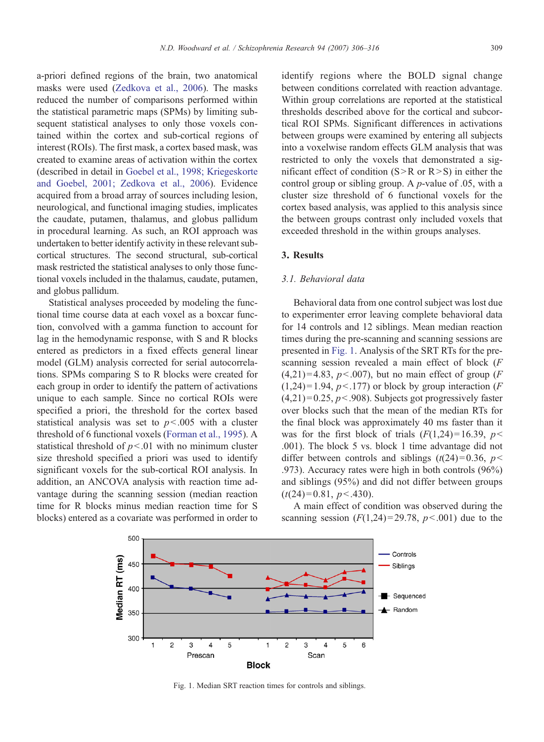a-priori defined regions of the brain, two anatomical masks were used ([Zedkova et al., 2006](#page-10-0)). The masks reduced the number of comparisons performed within the statistical parametric maps (SPMs) by limiting subsequent statistical analyses to only those voxels contained within the cortex and sub-cortical regions of interest (ROIs). The first mask, a cortex based mask, was created to examine areas of activation within the cortex (described in detail in [Goebel et al., 1998; Kriegeskorte](#page-9-0) [and Goebel, 2001; Zedkova et al., 2006](#page-9-0)). Evidence acquired from a broad array of sources including lesion, neurological, and functional imaging studies, implicates the caudate, putamen, thalamus, and globus pallidum in procedural learning. As such, an ROI approach was undertaken to better identify activity in these relevant subcortical structures. The second structural, sub-cortical mask restricted the statistical analyses to only those functional voxels included in the thalamus, caudate, putamen, and globus pallidum.

Statistical analyses proceeded by modeling the functional time course data at each voxel as a boxcar function, convolved with a gamma function to account for lag in the hemodynamic response, with S and R blocks entered as predictors in a fixed effects general linear model (GLM) analysis corrected for serial autocorrelations. SPMs comparing S to R blocks were created for each group in order to identify the pattern of activations unique to each sample. Since no cortical ROIs were specified a priori, the threshold for the cortex based statistical analysis was set to  $p<.005$  with a cluster threshold of 6 functional voxels ([Forman et al., 1995\)](#page-9-0). A statistical threshold of  $p<01$  with no minimum cluster size threshold specified a priori was used to identify significant voxels for the sub-cortical ROI analysis. In addition, an ANCOVA analysis with reaction time advantage during the scanning session (median reaction time for R blocks minus median reaction time for S blocks) entered as a covariate was performed in order to

identify regions where the BOLD signal change between conditions correlated with reaction advantage. Within group correlations are reported at the statistical thresholds described above for the cortical and subcortical ROI SPMs. Significant differences in activations between groups were examined by entering all subjects into a voxelwise random effects GLM analysis that was restricted to only the voxels that demonstrated a significant effect of condition  $(S > R \text{ or } R > S)$  in either the control group or sibling group. A  $p$ -value of .05, with a cluster size threshold of 6 functional voxels for the cortex based analysis, was applied to this analysis since the between groups contrast only included voxels that exceeded threshold in the within groups analyses.

## 3. Results

## 3.1. Behavioral data

Behavioral data from one control subject was lost due to experimenter error leaving complete behavioral data for 14 controls and 12 siblings. Mean median reaction times during the pre-scanning and scanning sessions are presented in Fig. 1. Analysis of the SRT RTs for the prescanning session revealed a main effect of block (F  $(4,21) = 4.83$ ,  $p < .007$ ), but no main effect of group (F)  $(1,24)$ =1.94, p<.177) or block by group interaction (F  $(4,21) = 0.25, p < 908$ . Subjects got progressively faster over blocks such that the mean of the median RTs for the final block was approximately 40 ms faster than it was for the first block of trials  $(F(1,24)=16.39, p<$ .001). The block 5 vs. block 1 time advantage did not differ between controls and siblings  $(t(24)=0.36, p<$ .973). Accuracy rates were high in both controls (96%) and siblings (95%) and did not differ between groups  $(t(24)=0.81, p<.430).$ 

A main effect of condition was observed during the scanning session  $(F(1,24)=29.78, p<0.01)$  due to the



Fig. 1. Median SRT reaction times for controls and siblings.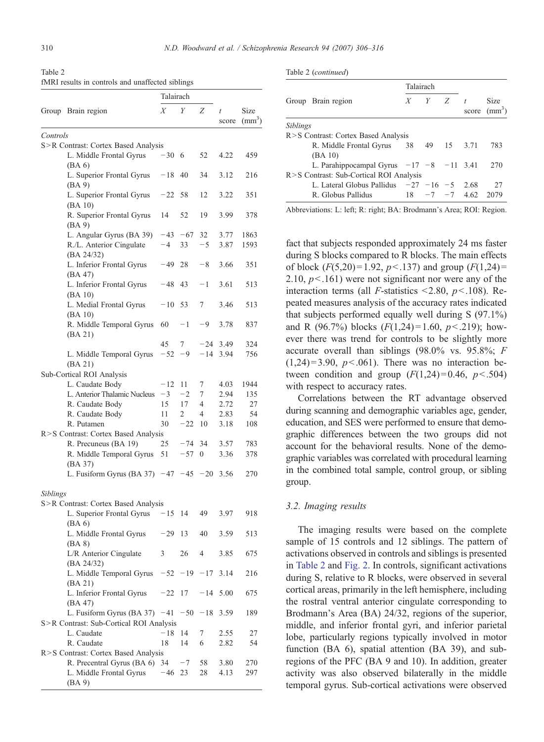Table 2 fMRI results in controls and unaffected siblings

Talairach

|          |                                                                            | татапасп    |            |          |              |                      |
|----------|----------------------------------------------------------------------------|-------------|------------|----------|--------------|----------------------|
|          | Group Brain region                                                         | X           | Y          | Ζ        | t<br>score   | Size<br>$\text{m}^3$ |
| Controls |                                                                            |             |            |          |              |                      |
|          | S>R Contrast: Cortex Based Analysis                                        |             |            |          |              |                      |
|          | L. Middle Frontal Gyrus<br>(BA 6)                                          | $-30$       | 6          | 52       | 4.22         | 459                  |
|          | L. Superior Frontal Gyrus<br>(BA 9)                                        | $-18$       | 40         | 34       | 3.12         | 216                  |
|          | L. Superior Frontal Gyrus<br>(BA 10)                                       | $-22$       | 58         | 12       | 3.22         | 351                  |
|          | R. Superior Frontal Gyrus<br>(BA 9)                                        | 14          | 52         | 19       | 3.99         | 378                  |
|          | L. Angular Gyrus (BA 39)                                                   | $-43$       | $-67$      | 32       | 3.77         | 1863                 |
|          | R./L. Anterior Cingulate<br>(BA 24/32)                                     | $-4$        | 33         | $-5$     | 3.87         | 1593                 |
|          | L. Inferior Frontal Gyrus<br>(BA 47)                                       | $-49$       | 28         | -8       | 3.66         | 351                  |
|          | L. Inferior Frontal Gyrus<br>(BA 10)                                       | $-48$       | 43         | $^{-1}$  | 3.61         | 513                  |
|          | L. Medial Frontal Gyrus<br>(BA 10)                                         | $-10$       | 53         | 7        | 3.46         | 513                  |
|          | R. Middle Temporal Gyrus<br>(BA 21)                                        | 60          | $^{-1}$    | -9       | 3.78         | 837                  |
|          |                                                                            | 45          | 7          | $-24$    | 3.49         | 324                  |
|          | L. Middle Temporal Gyrus<br>(BA 21)                                        | $-52$       | -9         | $-14$    | 3.94         | 756                  |
|          | Sub-Cortical ROI Analysis                                                  |             |            |          |              |                      |
|          | L. Caudate Body                                                            | $-12$       | 11         | 7        | 4.03         | 1944                 |
|          | L. Anterior Thalamic Nucleus                                               | $-3$        | $^{-2}$    | 7        | 2.94         | 135                  |
|          | R. Caudate Body                                                            | 15          | 17         | 4        | 2.72         | 27                   |
|          | R. Caudate Body                                                            | 11          | 2          | 4        | 2.83         | 54                   |
|          | R. Putamen                                                                 | 30          | $-22$      | 10       | 3.18         | 108                  |
|          | R>S Contrast: Cortex Based Analysis                                        |             |            |          |              |                      |
|          | R. Precuneus (BA 19)                                                       | 25          | -74        | 34       | 3.57         | 783                  |
|          | R. Middle Temporal Gyrus<br>(BA 37)                                        | 51          | -57        | 0        | 3.36         | 378                  |
|          | L. Fusiform Gyrus (BA 37) $-47$                                            |             | $-45$      | $-20$    | 3.56         | 270                  |
| Siblings |                                                                            |             |            |          |              |                      |
|          | S>R Contrast: Cortex Based Analysis<br>L. Superior Frontal Gyrus           | $-15$       | 14         | 49       | 3.97         | 918                  |
|          | (BA 6)                                                                     |             |            | 40       | 3.59         | 513                  |
|          | L. Middle Frontal Gyrus<br>(BA 8)                                          | $-29$       | 13         |          |              |                      |
|          | L/R Anterior Cingulate<br>(BA 24/32)                                       | 3           | 26         | 4        | 3.85         | 675                  |
|          | L. Middle Temporal Gyrus<br>(BA 21)                                        | $-52$       | $-19$      | $-17$    | 3.14         | 216                  |
|          | L. Inferior Frontal Gyrus<br>(BA 47)                                       | $-22$       | 17         | $-14$    | 5.00         | 675                  |
|          | L. Fusiform Gyrus (BA 37) $-41$<br>S>R Contrast: Sub-Cortical ROI Analysis |             | $-50$      | $-18$    | 3.59         | 189                  |
|          | L. Caudate                                                                 | $-18$       | 14         | 7        | 2.55         | 27                   |
|          | R. Caudate                                                                 | 18          | 14         | 6        | 2.82         | 54                   |
|          | R>S Contrast: Cortex Based Analysis                                        |             |            |          |              |                      |
|          | R. Precentral Gyrus (BA 6)<br>L. Middle Frontal Gyrus                      | 34<br>$-46$ | $-7$<br>23 | 58<br>28 | 3.80<br>4.13 | 270<br>297           |
|          | (BA 9)                                                                     |             |            |          |              |                      |

|  | Table 2 (continued) |
|--|---------------------|
|--|---------------------|

|                                                                        | Talairach        |                     |  | <b>Size</b><br>score $(mm3)$ |     |
|------------------------------------------------------------------------|------------------|---------------------|--|------------------------------|-----|
| Group Brain region                                                     | $\boldsymbol{X}$ | $Y \quad Z \quad t$ |  |                              |     |
| <b>Siblings</b>                                                        |                  |                     |  |                              |     |
| R>S Contrast: Cortex Based Analysis                                    |                  |                     |  |                              |     |
| R. Middle Frontal Gyrus 38 49 15 3.71<br>(BA 10)                       |                  |                     |  |                              | 783 |
| L. Parahippocampal Gyrus $-17 -8 -11$ 3.41                             |                  |                     |  |                              | 270 |
| R>S Contrast: Sub-Cortical ROI Analysis                                |                  |                     |  |                              |     |
| L. Lateral Globus Pallidus $-27$ $-16$ $-5$ 2.68<br>R. Globus Pallidus |                  |                     |  | $18 - 7 - 7$ $4.62$ 2079     | 27  |

Abbreviations: L: left; R: right; BA: Brodmann's Area; ROI: Region.

fact that subjects responded approximately 24 ms faster during S blocks compared to R blocks. The main effects of block  $(F(5,20) = 1.92, p<137)$  and group  $(F(1,24) =$ 2.10,  $p<161$ ) were not significant nor were any of the interaction terms (all *F*-statistics  $\leq$ 2.80, p $\leq$ .108). Repeated measures analysis of the accuracy rates indicated that subjects performed equally well during S (97.1%) and R (96.7%) blocks  $(F(1,24)=1.60, p<0.219)$ ; however there was trend for controls to be slightly more accurate overall than siblings  $(98.0\% \text{ vs. } 95.8\%; F)$  $(1,24)=3.90$ ,  $p<.061$ ). There was no interaction between condition and group  $(F(1,24)=0.46, p<.504)$ with respect to accuracy rates.

Correlations between the RT advantage observed during scanning and demographic variables age, gender, education, and SES were performed to ensure that demographic differences between the two groups did not account for the behavioral results. None of the demographic variables was correlated with procedural learning in the combined total sample, control group, or sibling group.

## 3.2. Imaging results

The imaging results were based on the complete sample of 15 controls and 12 siblings. The pattern of activations observed in controls and siblings is presented in Table 2 and [Fig. 2](#page-5-0). In controls, significant activations during S, relative to R blocks, were observed in several cortical areas, primarily in the left hemisphere, including the rostral ventral anterior cingulate corresponding to Brodmann's Area (BA) 24/32, regions of the superior, middle, and inferior frontal gyri, and inferior parietal lobe, particularly regions typically involved in motor function (BA 6), spatial attention (BA 39), and subregions of the PFC (BA 9 and 10). In addition, greater activity was also observed bilaterally in the middle temporal gyrus. Sub-cortical activations were observed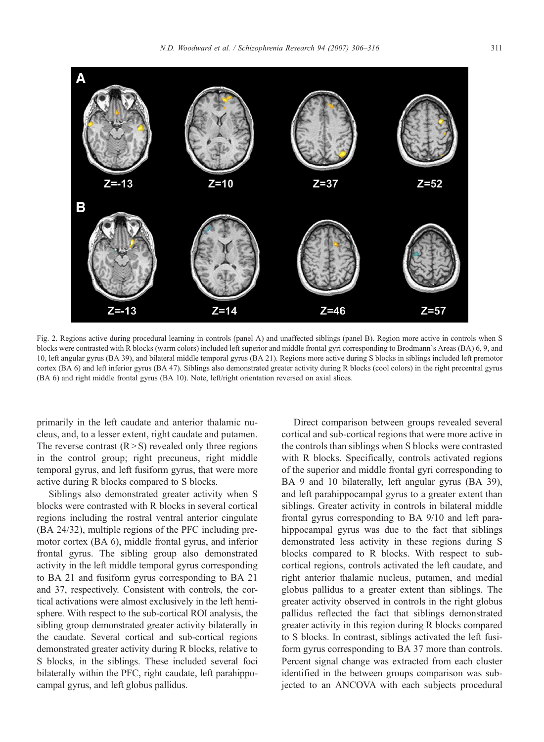<span id="page-5-0"></span>

Fig. 2. Regions active during procedural learning in controls (panel A) and unaffected siblings (panel B). Region more active in controls when S blocks were contrasted with R blocks (warm colors) included left superior and middle frontal gyri corresponding to Brodmann's Areas (BA) 6, 9, and 10, left angular gyrus (BA 39), and bilateral middle temporal gyrus (BA 21). Regions more active during S blocks in siblings included left premotor cortex (BA 6) and left inferior gyrus (BA 47). Siblings also demonstrated greater activity during R blocks (cool colors) in the right precentral gyrus (BA 6) and right middle frontal gyrus (BA 10). Note, left/right orientation reversed on axial slices.

primarily in the left caudate and anterior thalamic nucleus, and, to a lesser extent, right caudate and putamen. The reverse contrast  $(R>S)$  revealed only three regions in the control group; right precuneus, right middle temporal gyrus, and left fusiform gyrus, that were more active during R blocks compared to S blocks.

Siblings also demonstrated greater activity when S blocks were contrasted with R blocks in several cortical regions including the rostral ventral anterior cingulate (BA 24/32), multiple regions of the PFC including premotor cortex (BA 6), middle frontal gyrus, and inferior frontal gyrus. The sibling group also demonstrated activity in the left middle temporal gyrus corresponding to BA 21 and fusiform gyrus corresponding to BA 21 and 37, respectively. Consistent with controls, the cortical activations were almost exclusively in the left hemisphere. With respect to the sub-cortical ROI analysis, the sibling group demonstrated greater activity bilaterally in the caudate. Several cortical and sub-cortical regions demonstrated greater activity during R blocks, relative to S blocks, in the siblings. These included several foci bilaterally within the PFC, right caudate, left parahippocampal gyrus, and left globus pallidus.

Direct comparison between groups revealed several cortical and sub-cortical regions that were more active in the controls than siblings when S blocks were contrasted with R blocks. Specifically, controls activated regions of the superior and middle frontal gyri corresponding to BA 9 and 10 bilaterally, left angular gyrus (BA 39), and left parahippocampal gyrus to a greater extent than siblings. Greater activity in controls in bilateral middle frontal gyrus corresponding to BA 9/10 and left parahippocampal gyrus was due to the fact that siblings demonstrated less activity in these regions during S blocks compared to R blocks. With respect to subcortical regions, controls activated the left caudate, and right anterior thalamic nucleus, putamen, and medial globus pallidus to a greater extent than siblings. The greater activity observed in controls in the right globus pallidus reflected the fact that siblings demonstrated greater activity in this region during R blocks compared to S blocks. In contrast, siblings activated the left fusiform gyrus corresponding to BA 37 more than controls. Percent signal change was extracted from each cluster identified in the between groups comparison was subjected to an ANCOVA with each subjects procedural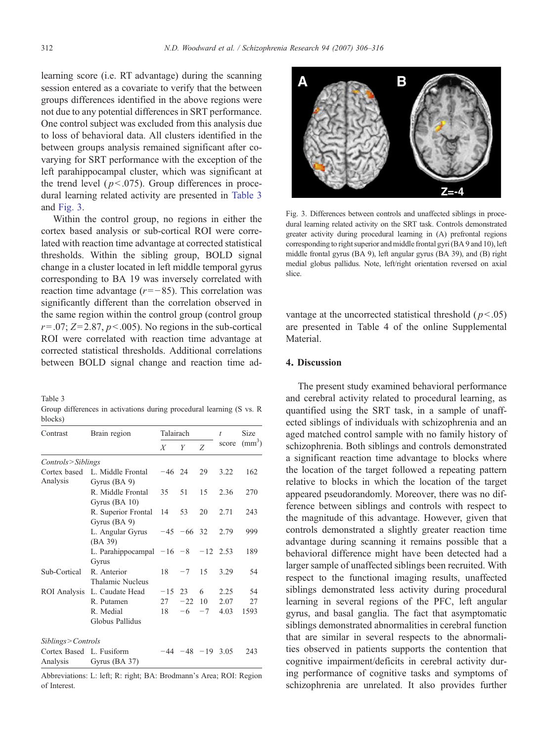learning score (i.e. RT advantage) during the scanning session entered as a covariate to verify that the between groups differences identified in the above regions were not due to any potential differences in SRT performance. One control subject was excluded from this analysis due to loss of behavioral data. All clusters identified in the between groups analysis remained significant after covarying for SRT performance with the exception of the left parahippocampal cluster, which was significant at the trend level ( $p<0.075$ ). Group differences in procedural learning related activity are presented in Table 3 and Fig. 3.

Within the control group, no regions in either the cortex based analysis or sub-cortical ROI were correlated with reaction time advantage at corrected statistical thresholds. Within the sibling group, BOLD signal change in a cluster located in left middle temporal gyrus corresponding to BA 19 was inversely correlated with reaction time advantage  $(r=-85)$ . This correlation was significantly different than the correlation observed in the same region within the control group (control group  $r=.07; Z=2.87, p<.005$ . No regions in the sub-cortical ROI were correlated with reaction time advantage at corrected statistical thresholds. Additional correlations between BOLD signal change and reaction time ad-

| ٧<br>۰,<br>v. |  |
|---------------|--|
|---------------|--|

|         |  | Group differences in activations during procedural learning (S vs. R |  |  |  |
|---------|--|----------------------------------------------------------------------|--|--|--|
| blocks) |  |                                                                      |  |  |  |

| Contrast                 | Brain region                                  | Talairach |                   |      | $\boldsymbol{t}$ | Size            |  |
|--------------------------|-----------------------------------------------|-----------|-------------------|------|------------------|-----------------|--|
|                          |                                               | X         | Y                 | Z    | score            | $\text{(mm}^3)$ |  |
| Controls>Siblings        |                                               |           |                   |      |                  |                 |  |
| Cortex based<br>Analysis | L. Middle Frontal<br>Gyrus $(BA 9)$           | $-46$ 24  |                   | 29   | 3.22             | 162             |  |
|                          | R. Middle Frontal<br>Gyrus $(BA 10)$          | 35        | 51                | 15   | 2.36             | 270             |  |
|                          | R. Superior Frontal<br>Gyrus $(BA 9)$         | 14        | 53                | 20   | 2.71             | 243             |  |
|                          | L. Angular Gyrus<br>(BA 39)                   |           | $-45 -66$ 32      |      | 2.79             | 999             |  |
|                          | L. Parahippocampal $-16 -8 -12$ 2.53<br>Gyrus |           |                   |      |                  | 189             |  |
| Sub-Cortical             | R. Anterior<br>Thalamic Nucleus               | 18        | $-7$              | 15   | 3.29             | 54              |  |
| ROI Analysis             | L. Caudate Head                               |           | $-15$ 23          | 6    | 2.25             | 54              |  |
|                          | R. Putamen                                    | 27        | $-22$             | 10   | 2.07             | 27              |  |
|                          | R. Medial<br>Globus Pallidus                  | 18        | $-6$              | $-7$ | 4.03             | 1593            |  |
| Siblings>Controls        |                                               |           |                   |      |                  |                 |  |
| Cortex Based L. Fusiform | Analysis Gyrus (BA 37)                        |           | $-44$ $-48$ $-19$ |      | 3.05             | 243             |  |

Abbreviations: L: left; R: right; BA: Brodmann's Area; ROI: Region of Interest.



Fig. 3. Differences between controls and unaffected siblings in procedural learning related activity on the SRT task. Controls demonstrated greater activity during procedural learning in (A) prefrontal regions corresponding to right superior and middle frontal gyri (BA 9 and 10), left middle frontal gyrus (BA 9), left angular gyrus (BA 39), and (B) right medial globus pallidus. Note, left/right orientation reversed on axial slice.

vantage at the uncorrected statistical threshold ( $p<.05$ ) are presented in Table 4 of the online Supplemental Material.

## 4. Discussion

The present study examined behavioral performance and cerebral activity related to procedural learning, as quantified using the SRT task, in a sample of unaffected siblings of individuals with schizophrenia and an aged matched control sample with no family history of schizophrenia. Both siblings and controls demonstrated a significant reaction time advantage to blocks where the location of the target followed a repeating pattern relative to blocks in which the location of the target appeared pseudorandomly. Moreover, there was no difference between siblings and controls with respect to the magnitude of this advantage. However, given that controls demonstrated a slightly greater reaction time advantage during scanning it remains possible that a behavioral difference might have been detected had a larger sample of unaffected siblings been recruited. With respect to the functional imaging results, unaffected siblings demonstrated less activity during procedural learning in several regions of the PFC, left angular gyrus, and basal ganglia. The fact that asymptomatic siblings demonstrated abnormalities in cerebral function that are similar in several respects to the abnormalities observed in patients supports the contention that cognitive impairment/deficits in cerebral activity during performance of cognitive tasks and symptoms of schizophrenia are unrelated. It also provides further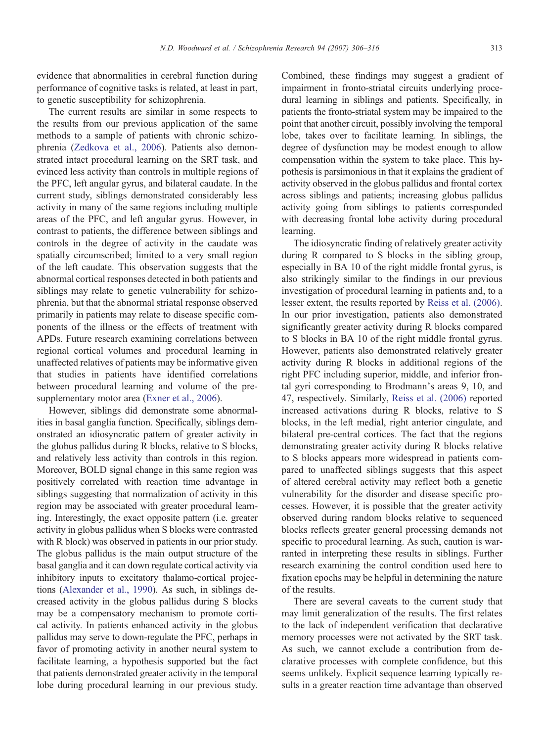evidence that abnormalities in cerebral function during performance of cognitive tasks is related, at least in part, to genetic susceptibility for schizophrenia.

The current results are similar in some respects to the results from our previous application of the same methods to a sample of patients with chronic schizophrenia [\(Zedkova et al., 2006](#page-10-0)). Patients also demonstrated intact procedural learning on the SRT task, and evinced less activity than controls in multiple regions of the PFC, left angular gyrus, and bilateral caudate. In the current study, siblings demonstrated considerably less activity in many of the same regions including multiple areas of the PFC, and left angular gyrus. However, in contrast to patients, the difference between siblings and controls in the degree of activity in the caudate was spatially circumscribed; limited to a very small region of the left caudate. This observation suggests that the abnormal cortical responses detected in both patients and siblings may relate to genetic vulnerability for schizophrenia, but that the abnormal striatal response observed primarily in patients may relate to disease specific components of the illness or the effects of treatment with APDs. Future research examining correlations between regional cortical volumes and procedural learning in unaffected relatives of patients may be informative given that studies in patients have identified correlations between procedural learning and volume of the presupplementary motor area [\(Exner et al., 2006](#page-9-0)).

However, siblings did demonstrate some abnormalities in basal ganglia function. Specifically, siblings demonstrated an idiosyncratic pattern of greater activity in the globus pallidus during R blocks, relative to S blocks, and relatively less activity than controls in this region. Moreover, BOLD signal change in this same region was positively correlated with reaction time advantage in siblings suggesting that normalization of activity in this region may be associated with greater procedural learning. Interestingly, the exact opposite pattern (i.e. greater activity in globus pallidus when S blocks were contrasted with R block) was observed in patients in our prior study. The globus pallidus is the main output structure of the basal ganglia and it can down regulate cortical activity via inhibitory inputs to excitatory thalamo-cortical projections ([Alexander et al., 1990\)](#page-8-0). As such, in siblings decreased activity in the globus pallidus during S blocks may be a compensatory mechanism to promote cortical activity. In patients enhanced activity in the globus pallidus may serve to down-regulate the PFC, perhaps in favor of promoting activity in another neural system to facilitate learning, a hypothesis supported but the fact that patients demonstrated greater activity in the temporal lobe during procedural learning in our previous study.

Combined, these findings may suggest a gradient of impairment in fronto-striatal circuits underlying procedural learning in siblings and patients. Specifically, in patients the fronto-striatal system may be impaired to the point that another circuit, possibly involving the temporal lobe, takes over to facilitate learning. In siblings, the degree of dysfunction may be modest enough to allow compensation within the system to take place. This hypothesis is parsimonious in that it explains the gradient of activity observed in the globus pallidus and frontal cortex across siblings and patients; increasing globus pallidus activity going from siblings to patients corresponded with decreasing frontal lobe activity during procedural learning.

The idiosyncratic finding of relatively greater activity during R compared to S blocks in the sibling group, especially in BA 10 of the right middle frontal gyrus, is also strikingly similar to the findings in our previous investigation of procedural learning in patients and, to a lesser extent, the results reported by [Reiss et al. \(2006\).](#page-9-0) In our prior investigation, patients also demonstrated significantly greater activity during R blocks compared to S blocks in BA 10 of the right middle frontal gyrus. However, patients also demonstrated relatively greater activity during R blocks in additional regions of the right PFC including superior, middle, and inferior frontal gyri corresponding to Brodmann's areas 9, 10, and 47, respectively. Similarly, [Reiss et al. \(2006\)](#page-9-0) reported increased activations during R blocks, relative to S blocks, in the left medial, right anterior cingulate, and bilateral pre-central cortices. The fact that the regions demonstrating greater activity during R blocks relative to S blocks appears more widespread in patients compared to unaffected siblings suggests that this aspect of altered cerebral activity may reflect both a genetic vulnerability for the disorder and disease specific processes. However, it is possible that the greater activity observed during random blocks relative to sequenced blocks reflects greater general processing demands not specific to procedural learning. As such, caution is warranted in interpreting these results in siblings. Further research examining the control condition used here to fixation epochs may be helpful in determining the nature of the results.

There are several caveats to the current study that may limit generalization of the results. The first relates to the lack of independent verification that declarative memory processes were not activated by the SRT task. As such, we cannot exclude a contribution from declarative processes with complete confidence, but this seems unlikely. Explicit sequence learning typically results in a greater reaction time advantage than observed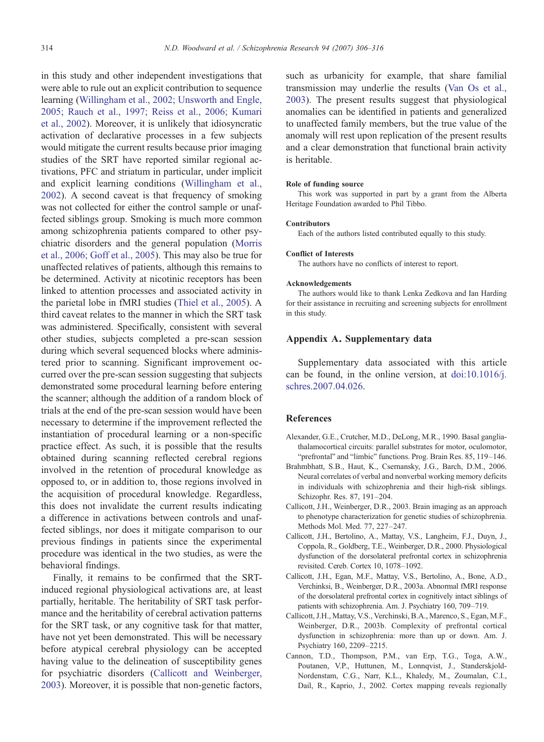<span id="page-8-0"></span>in this study and other independent investigations that were able to rule out an explicit contribution to sequence learning [\(Willingham et al., 2002; Unsworth and Engle,](#page-10-0) [2005; Rauch et al., 1997; Reiss et al., 2006; Kumari](#page-10-0) [et al., 2002\)](#page-10-0). Moreover, it is unlikely that idiosyncratic activation of declarative processes in a few subjects would mitigate the current results because prior imaging studies of the SRT have reported similar regional activations, PFC and striatum in particular, under implicit and explicit learning conditions ([Willingham et al.,](#page-10-0) [2002](#page-10-0)). A second caveat is that frequency of smoking was not collected for either the control sample or unaffected siblings group. Smoking is much more common among schizophrenia patients compared to other psychiatric disorders and the general population ([Morris](#page-9-0) [et al., 2006; Goff et al., 2005](#page-9-0)). This may also be true for unaffected relatives of patients, although this remains to be determined. Activity at nicotinic receptors has been linked to attention processes and associated activity in the parietal lobe in fMRI studies ([Thiel et al., 2005\)](#page-9-0). A third caveat relates to the manner in which the SRT task was administered. Specifically, consistent with several other studies, subjects completed a pre-scan session during which several sequenced blocks where administered prior to scanning. Significant improvement occurred over the pre-scan session suggesting that subjects demonstrated some procedural learning before entering the scanner; although the addition of a random block of trials at the end of the pre-scan session would have been necessary to determine if the improvement reflected the instantiation of procedural learning or a non-specific practice effect. As such, it is possible that the results obtained during scanning reflected cerebral regions involved in the retention of procedural knowledge as opposed to, or in addition to, those regions involved in the acquisition of procedural knowledge. Regardless, this does not invalidate the current results indicating a difference in activations between controls and unaffected siblings, nor does it mitigate comparison to our previous findings in patients since the experimental procedure was identical in the two studies, as were the behavioral findings.

Finally, it remains to be confirmed that the SRTinduced regional physiological activations are, at least partially, heritable. The heritability of SRT task performance and the heritability of cerebral activation patterns for the SRT task, or any cognitive task for that matter, have not yet been demonstrated. This will be necessary before atypical cerebral physiology can be accepted having value to the delineation of susceptibility genes for psychiatric disorders (Callicott and Weinberger, 2003). Moreover, it is possible that non-genetic factors,

such as urbanicity for example, that share familial transmission may underlie the results ([Van Os et al.,](#page-10-0) [2003](#page-10-0)). The present results suggest that physiological anomalies can be identified in patients and generalized to unaffected family members, but the true value of the anomaly will rest upon replication of the present results and a clear demonstration that functional brain activity is heritable.

#### Role of funding source

This work was supported in part by a grant from the Alberta Heritage Foundation awarded to Phil Tibbo.

#### Contributors

Each of the authors listed contributed equally to this study.

#### Conflict of Interests

The authors have no conflicts of interest to report.

#### Acknowledgements

The authors would like to thank Lenka Zedkova and Ian Harding for their assistance in recruiting and screening subjects for enrollment in this study.

## Appendix A. Supplementary data

Supplementary data associated with this article can be found, in the online version, at [doi:10.1016/j.](http://dx.doi.org/doi:10.1016/j.schres.2007.04.026) [schres.2007.04.026](http://dx.doi.org/doi:10.1016/j.schres.2007.04.026).

## **References**

- Alexander, G.E., Crutcher, M.D., DeLong, M.R., 1990. Basal gangliathalamocortical circuits: parallel substrates for motor, oculomotor, "prefrontal" and "limbic" functions. Prog. Brain Res. 85, 119–146.
- Brahmbhatt, S.B., Haut, K., Csernansky, J.G., Barch, D.M., 2006. Neural correlates of verbal and nonverbal working memory deficits in individuals with schizophrenia and their high-risk siblings. Schizophr. Res. 87, 191–204.
- Callicott, J.H., Weinberger, D.R., 2003. Brain imaging as an approach to phenotype characterization for genetic studies of schizophrenia. Methods Mol. Med. 77, 227–247.
- Callicott, J.H., Bertolino, A., Mattay, V.S., Langheim, F.J., Duyn, J., Coppola, R., Goldberg, T.E., Weinberger, D.R., 2000. Physiological dysfunction of the dorsolateral prefrontal cortex in schizophrenia revisited. Cereb. Cortex 10, 1078–1092.
- Callicott, J.H., Egan, M.F., Mattay, V.S., Bertolino, A., Bone, A.D., Verchinksi, B., Weinberger, D.R., 2003a. Abnormal fMRI response of the dorsolateral prefrontal cortex in cognitively intact siblings of patients with schizophrenia. Am. J. Psychiatry 160, 709–719.
- Callicott, J.H., Mattay, V.S., Verchinski, B.A., Marenco, S., Egan, M.F., Weinberger, D.R., 2003b. Complexity of prefrontal cortical dysfunction in schizophrenia: more than up or down. Am. J. Psychiatry 160, 2209–2215.
- Cannon, T.D., Thompson, P.M., van Erp, T.G., Toga, A.W., Poutanen, V.P., Huttunen, M., Lonnqvist, J., Standerskjold-Nordenstam, C.G., Narr, K.L., Khaledy, M., Zoumalan, C.I., Dail, R., Kaprio, J., 2002. Cortex mapping reveals regionally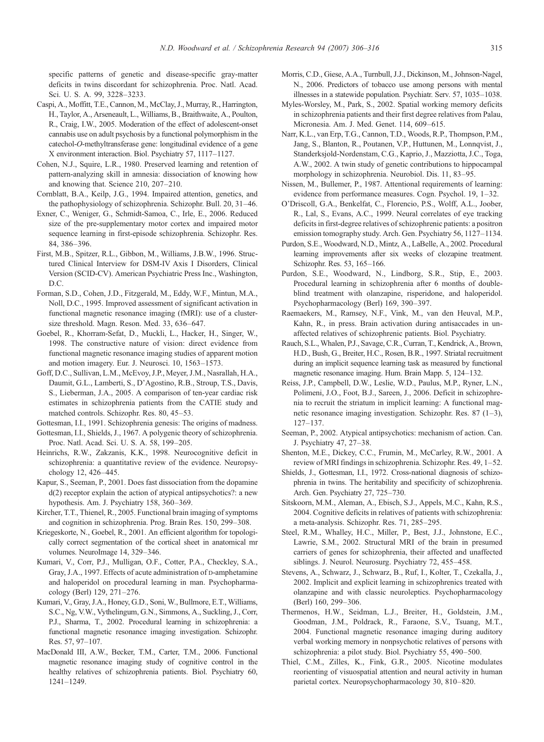<span id="page-9-0"></span>specific patterns of genetic and disease-specific gray-matter deficits in twins discordant for schizophrenia. Proc. Natl. Acad. Sci. U. S. A. 99, 3228–3233.

- Caspi, A., Moffitt, T.E., Cannon, M., McClay, J., Murray, R., Harrington, H., Taylor, A., Arseneault, L., Williams, B., Braithwaite, A., Poulton, R., Craig, I.W., 2005. Moderation of the effect of adolescent-onset cannabis use on adult psychosis by a functional polymorphism in the catechol-O-methyltransferase gene: longitudinal evidence of a gene X environment interaction. Biol. Psychiatry 57, 1117–1127.
- Cohen, N.J., Squire, L.R., 1980. Preserved learning and retention of pattern-analyzing skill in amnesia: dissociation of knowing how and knowing that. Science 210, 207–210.
- Cornblatt, B.A., Keilp, J.G., 1994. Impaired attention, genetics, and the pathophysiology of schizophrenia. Schizophr. Bull. 20, 31–46.
- Exner, C., Weniger, G., Schmidt-Samoa, C., Irle, E., 2006. Reduced size of the pre-supplementary motor cortex and impaired motor sequence learning in first-episode schizophrenia. Schizophr. Res. 84, 386–396.
- First, M.B., Spitzer, R.L., Gibbon, M., Williams, J.B.W., 1996. Structured Clinical Interview for DSM-IV Axis I Disorders, Clinical Version (SCID-CV). American Psychiatric Press Inc., Washington, D.C.
- Forman, S.D., Cohen, J.D., Fitzgerald, M., Eddy, W.F., Mintun, M.A., Noll, D.C., 1995. Improved assessment of significant activation in functional magnetic resonance imaging (fMRI): use of a clustersize threshold. Magn. Reson. Med. 33, 636–647.
- Goebel, R., Khorram-Sefat, D., Muckli, L., Hacker, H., Singer, W., 1998. The constructive nature of vision: direct evidence from functional magnetic resonance imaging studies of apparent motion and motion imagery. Eur. J. Neurosci. 10, 1563–1573.
- Goff, D.C., Sullivan, L.M., McEvoy, J.P., Meyer, J.M., Nasrallah, H.A., Daumit, G.L., Lamberti, S., D'Agostino, R.B., Stroup, T.S., Davis, S., Lieberman, J.A., 2005. A comparison of ten-year cardiac risk estimates in schizophrenia patients from the CATIE study and matched controls. Schizophr. Res. 80, 45–53.
- Gottesman, I.I., 1991. Schizophrenia genesis: The origins of madness.
- Gottesman, I.I., Shields, J., 1967. A polygenic theory of schizophrenia. Proc. Natl. Acad. Sci. U. S. A. 58, 199–205.
- Heinrichs, R.W., Zakzanis, K.K., 1998. Neurocognitive deficit in schizophrenia: a quantitative review of the evidence. Neuropsychology 12, 426–445.
- Kapur, S., Seeman, P., 2001. Does fast dissociation from the dopamine d(2) receptor explain the action of atypical antipsychotics?: a new hypothesis. Am. J. Psychiatry 158, 360–369.
- Kircher, T.T., Thienel, R., 2005. Functional brain imaging of symptoms and cognition in schizophrenia. Prog. Brain Res. 150, 299–308.
- Kriegeskorte, N., Goebel, R., 2001. An efficient algorithm for topologically correct segmentation of the cortical sheet in anatomical mr volumes. NeuroImage 14, 329–346.
- Kumari, V., Corr, P.J., Mulligan, O.F., Cotter, P.A., Checkley, S.A., Gray, J.A., 1997. Effects of acute administration of D-amphetamine and haloperidol on procedural learning in man. Psychopharmacology (Berl) 129, 271–276.
- Kumari, V., Gray, J.A., Honey, G.D., Soni, W., Bullmore, E.T., Williams, S.C., Ng, V.W., Vythelingum, G.N., Simmons, A., Suckling, J., Corr, P.J., Sharma, T., 2002. Procedural learning in schizophrenia: a functional magnetic resonance imaging investigation. Schizophr. Res. 57, 97–107.
- MacDonald III, A.W., Becker, T.M., Carter, T.M., 2006. Functional magnetic resonance imaging study of cognitive control in the healthy relatives of schizophrenia patients. Biol. Psychiatry 60, 1241–1249.
- Morris, C.D., Giese, A.A., Turnbull, J.J., Dickinson, M., Johnson-Nagel, N., 2006. Predictors of tobacco use among persons with mental illnesses in a statewide population. Psychiatr. Serv. 57, 1035–1038.
- Myles-Worsley, M., Park, S., 2002. Spatial working memory deficits in schizophrenia patients and their first degree relatives from Palau, Micronesia. Am. J. Med. Genet. 114, 609–615.
- Narr, K.L., van Erp, T.G., Cannon, T.D., Woods, R.P., Thompson, P.M., Jang, S., Blanton, R., Poutanen, V.P., Huttunen, M., Lonnqvist, J., Standerksjold-Nordenstam, C.G., Kaprio, J., Mazziotta, J.C., Toga, A.W., 2002. A twin study of genetic contributions to hippocampal morphology in schizophrenia. Neurobiol. Dis. 11, 83–95.
- Nissen, M., Bullemer, P., 1987. Attentional requirements of learning: evidence from performance measures. Cogn. Psychol. 19, 1–32.
- O'Driscoll, G.A., Benkelfat, C., Florencio, P.S., Wolff, A.L., Joober, R., Lal, S., Evans, A.C., 1999. Neural correlates of eye tracking deficits in first-degree relatives of schizophrenic patients: a positron emission tomography study. Arch. Gen. Psychiatry 56, 1127–1134.
- Purdon, S.E., Woodward, N.D., Mintz, A., LaBelle, A., 2002. Procedural learning improvements after six weeks of clozapine treatment. Schizophr. Res. 53, 165–166.
- Purdon, S.E., Woodward, N., Lindborg, S.R., Stip, E., 2003. Procedural learning in schizophrenia after 6 months of doubleblind treatment with olanzapine, risperidone, and haloperidol. Psychopharmacology (Berl) 169, 390–397.
- Raemaekers, M., Ramsey, N.F., Vink, M., van den Heuval, M.P., Kahn, R., in press. Brain activation during antisaccades in unaffected relatives of schizophrenic patients. Biol. Psychiatry.
- Rauch, S.L., Whalen, P.J., Savage, C.R., Curran, T., Kendrick, A., Brown, H.D., Bush, G., Breiter, H.C., Rosen, B.R., 1997. Striatal recruitment during an implicit sequence learning task as measured by functional magnetic resonance imaging. Hum. Brain Mapp. 5, 124–132.
- Reiss, J.P., Campbell, D.W., Leslie, W.D., Paulus, M.P., Ryner, L.N., Polimeni, J.O., Foot, B.J., Sareen, J., 2006. Deficit in schizophrenia to recruit the striatum in implicit learning: A functional magnetic resonance imaging investigation. Schizophr. Res. 87 (1–3), 127–137.
- Seeman, P., 2002. Atypical antipsychotics: mechanism of action. Can. J. Psychiatry 47, 27–38.
- Shenton, M.E., Dickey, C.C., Frumin, M., McCarley, R.W., 2001. A review of MRI findings in schizophrenia. Schizophr. Res. 49, 1–52.
- Shields, J., Gottesman, I.I., 1972. Cross-national diagnosis of schizophrenia in twins. The heritability and specificity of schizophrenia. Arch. Gen. Psychiatry 27, 725–730.
- Sitskoorn, M.M., Aleman, A., Ebisch, S.J., Appels, M.C., Kahn, R.S., 2004. Cognitive deficits in relatives of patients with schizophrenia: a meta-analysis. Schizophr. Res. 71, 285–295.
- Steel, R.M., Whalley, H.C., Miller, P., Best, J.J., Johnstone, E.C., Lawrie, S.M., 2002. Structural MRI of the brain in presumed carriers of genes for schizophrenia, their affected and unaffected siblings. J. Neurol. Neurosurg. Psychiatry 72, 455–458.
- Stevens, A., Schwarz, J., Schwarz, B., Ruf, I., Kolter, T., Czekalla, J., 2002. Implicit and explicit learning in schizophrenics treated with olanzapine and with classic neuroleptics. Psychopharmacology (Berl) 160, 299–306.
- Thermenos, H.W., Seidman, L.J., Breiter, H., Goldstein, J.M., Goodman, J.M., Poldrack, R., Faraone, S.V., Tsuang, M.T., 2004. Functional magnetic resonance imaging during auditory verbal working memory in nonpsychotic relatives of persons with schizophrenia: a pilot study. Biol. Psychiatry 55, 490–500.
- Thiel, C.M., Zilles, K., Fink, G.R., 2005. Nicotine modulates reorienting of visuospatial attention and neural activity in human parietal cortex. Neuropsychopharmacology 30, 810–820.